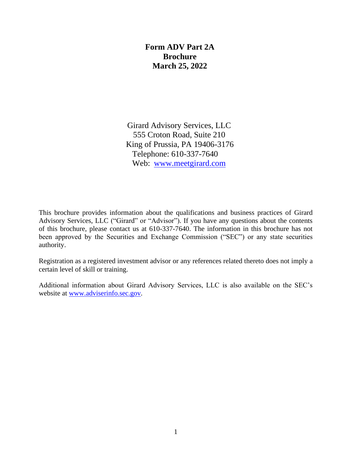#### **Form ADV Part 2A Brochure March 25, 2022**

Girard Advisory Services, LLC 555 Croton Road, Suite 210 King of Prussia, PA 19406-3176 Telephone: 610-337-7640 Web: [www.meetgirard.com](http://www.girardpartners.com/)

This brochure provides information about the qualifications and business practices of Girard Advisory Services, LLC ("Girard" or "Advisor"). If you have any questions about the contents of this brochure, please contact us at 610-337-7640. The information in this brochure has not been approved by the Securities and Exchange Commission ("SEC") or any state securities authority.

Registration as a registered investment advisor or any references related thereto does not imply a certain level of skill or training.

Additional information about Girard Advisory Services, LLC is also available on the SEC's [website at](http://www.adviserinfo.sec.gov/) [www.adviserinfo.sec.gov.](http://www.adviserinfo.sec.gov/)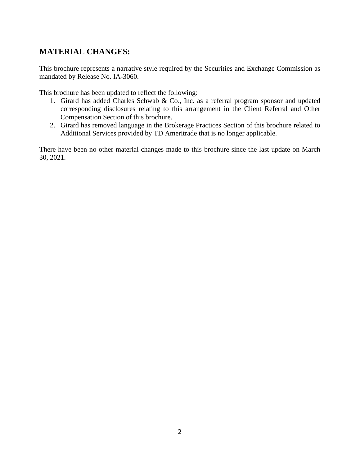# **MATERIAL CHANGES:**

This brochure represents a narrative style required by the Securities and Exchange Commission as mandated by Release No. IA-3060.

This brochure has been updated to reflect the following:

- 1. Girard has added Charles Schwab & Co., Inc. as a referral program sponsor and updated corresponding disclosures relating to this arrangement in the Client Referral and Other Compensation Section of this brochure.
- 2. Girard has removed language in the Brokerage Practices Section of this brochure related to Additional Services provided by TD Ameritrade that is no longer applicable.

There have been no other material changes made to this brochure since the last update on March 30, 2021.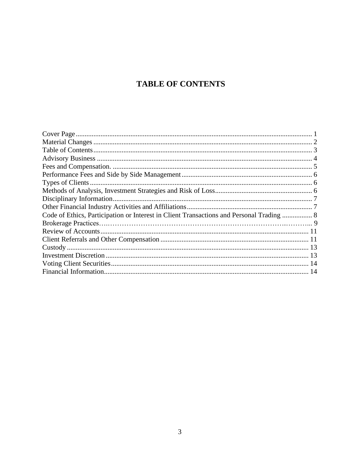# **TABLE OF CONTENTS**

| Disciplinary Information.                                                                |  |
|------------------------------------------------------------------------------------------|--|
|                                                                                          |  |
| Code of Ethics, Participation or Interest in Client Transactions and Personal Trading  8 |  |
|                                                                                          |  |
|                                                                                          |  |
|                                                                                          |  |
|                                                                                          |  |
|                                                                                          |  |
|                                                                                          |  |
|                                                                                          |  |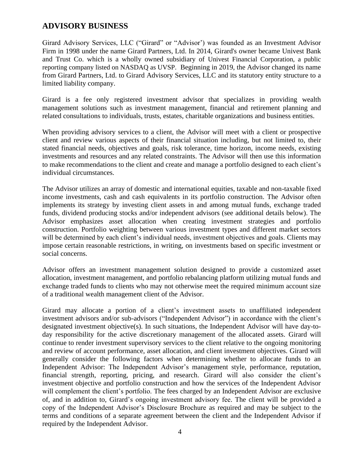#### **ADVISORY BUSINESS**

Girard Advisory Services, LLC ("Girard" or "Advisor') was founded as an Investment Advisor Firm in 1998 under the name Girard Partners, Ltd. In 2014, Girard's owner became Univest Bank and Trust Co. which is a wholly owned subsidiary of Univest Financial Corporation, a public reporting company listed on NASDAQ as UVSP. Beginning in 2019, the Advisor changed its name from Girard Partners, Ltd. to Girard Advisory Services, LLC and its statutory entity structure to a limited liability company.

Girard is a fee only registered investment advisor that specializes in providing wealth management solutions such as investment management, financial and retirement planning and related consultations to individuals, trusts, estates, charitable organizations and business entities.

When providing advisory services to a client, the Advisor will meet with a client or prospective client and review various aspects of their financial situation including, but not limited to, their stated financial needs, objectives and goals, risk tolerance, time horizon, income needs, existing investments and resources and any related constraints. The Advisor will then use this information to make recommendations to the client and create and manage a portfolio designed to each client's individual circumstances.

The Advisor utilizes an array of domestic and international equities, taxable and non-taxable fixed income investments, cash and cash equivalents in its portfolio construction. The Advisor often implements its strategy by investing client assets in and among mutual funds, exchange traded funds, dividend producing stocks and/or independent advisors (see additional details below). The Advisor emphasizes asset allocation when creating investment strategies and portfolio construction. Portfolio weighting between various investment types and different market sectors will be determined by each client's individual needs, investment objectives and goals. Clients may impose certain reasonable restrictions, in writing, on investments based on specific investment or social concerns.

Advisor offers an investment management solution designed to provide a customized asset allocation, investment management, and portfolio rebalancing platform utilizing mutual funds and exchange traded funds to clients who may not otherwise meet the required minimum account size of a traditional wealth management client of the Advisor.

Girard may allocate a portion of a client's investment assets to unaffiliated independent investment advisors and/or sub-advisors ("Independent Advisor") in accordance with the client's designated investment objective(s). In such situations, the Independent Advisor will have day-today responsibility for the active discretionary management of the allocated assets. Girard will continue to render investment supervisory services to the client relative to the ongoing monitoring and review of account performance, asset allocation, and client investment objectives. Girard will generally consider the following factors when determining whether to allocate funds to an Independent Advisor: The Independent Advisor's management style, performance, reputation, financial strength, reporting, pricing, and research. Girard will also consider the client's investment objective and portfolio construction and how the services of the Independent Advisor will complement the client's portfolio. The fees charged by an Independent Advisor are exclusive of, and in addition to, Girard's ongoing investment advisory fee. The client will be provided a copy of the Independent Advisor's Disclosure Brochure as required and may be subject to the terms and conditions of a separate agreement between the client and the Independent Advisor if required by the Independent Advisor.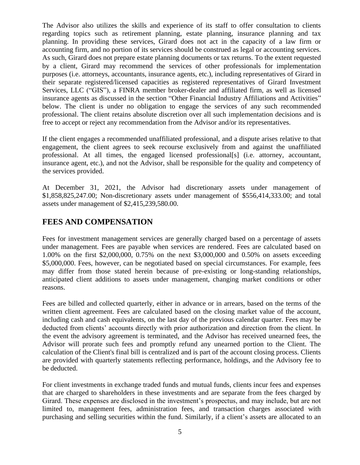The Advisor also utilizes the skills and experience of its staff to offer consultation to clients regarding topics such as retirement planning, estate planning, insurance planning and tax planning. In providing these services, Girard does not act in the capacity of a law firm or accounting firm, and no portion of its services should be construed as legal or accounting services. As such, Girard does not prepare estate planning documents or tax returns. To the extent requested by a client, Girard may recommend the services of other professionals for implementation purposes (i.e. attorneys, accountants, insurance agents, etc.), including representatives of Girard in their separate registered/licensed capacities as registered representatives of Girard Investment Services, LLC ("GIS"), a FINRA member broker-dealer and affiliated firm, as well as licensed insurance agents as discussed in the section "Other Financial Industry Affiliations and Activities" below. The client is under no obligation to engage the services of any such recommended professional. The client retains absolute discretion over all such implementation decisions and is free to accept or reject any recommendation from the Advisor and/or its representatives.

If the client engages a recommended unaffiliated professional, and a dispute arises relative to that engagement, the client agrees to seek recourse exclusively from and against the unaffiliated professional. At all times, the engaged licensed professional[s] (i.e. attorney, accountant, insurance agent, etc.), and not the Advisor, shall be responsible for the quality and competency of the services provided.

At December 31, 2021, the Advisor had discretionary assets under management of \$1,858,825,247.00; Non-discretionary assets under management of \$556,414,333.00; and total assets under management of \$2,415,239,580.00.

## <span id="page-4-0"></span>**FEES AND COMPENSATION**

Fees for investment management services are generally charged based on a percentage of assets under management. Fees are payable when services are rendered. Fees are calculated based on 1.00% on the first \$2,000,000, 0.75% on the next \$3,000,000 and 0.50% on assets exceeding \$5,000,000. Fees, however, can be negotiated based on special circumstances. For example, fees may differ from those stated herein because of pre-existing or long-standing relationships, anticipated client additions to assets under management, changing market conditions or other reasons.

Fees are billed and collected quarterly, either in advance or in arrears, based on the terms of the written client agreement. Fees are calculated based on the closing market value of the account, including cash and cash equivalents, on the last day of the previous calendar quarter. Fees may be deducted from clients' accounts directly with prior authorization and direction from the client. In the event the advisory agreement is terminated, and the Advisor has received unearned fees, the Advisor will prorate such fees and promptly refund any unearned portion to the Client. The calculation of the Client's final bill is centralized and is part of the account closing process. Clients are provided with quarterly statements reflecting performance, holdings, and the Advisory fee to be deducted.

For client investments in exchange traded funds and mutual funds, clients incur fees and expenses that are charged to shareholders in these investments and are separate from the fees charged by Girard. These expenses are disclosed in the investment's prospectus, and may include, but are not limited to, management fees, administration fees, and transaction charges associated with purchasing and selling securities within the fund. Similarly, if a client's assets are allocated to an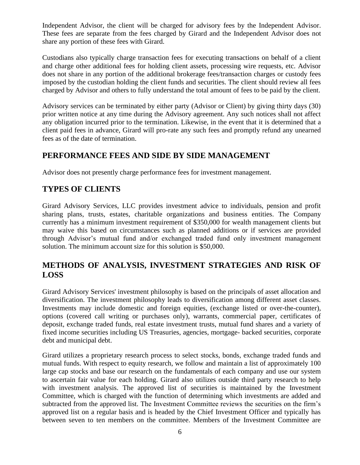Independent Advisor, the client will be charged for advisory fees by the Independent Advisor. These fees are separate from the fees charged by Girard and the Independent Advisor does not share any portion of these fees with Girard.

Custodians also typically charge transaction fees for executing transactions on behalf of a client and charge other additional fees for holding client assets, processing wire requests, etc. Advisor does not share in any portion of the additional brokerage fees/transaction charges or custody fees imposed by the custodian holding the client funds and securities. The client should review all fees charged by Advisor and others to fully understand the total amount of fees to be paid by the client.

Advisory services can be terminated by either party (Advisor or Client) by giving thirty days (30) prior written notice at any time during the Advisory agreement. Any such notices shall not affect any obligation incurred prior to the termination. Likewise, in the event that it is determined that a client paid fees in advance, Girard will pro-rate any such fees and promptly refund any unearned fees as of the date of termination.

#### <span id="page-5-1"></span>**PERFORMANCE FEES AND SIDE BY SIDE MANAGEMENT**

Advisor does not presently charge performance fees for investment management.

## <span id="page-5-0"></span>**TYPES OF CLIENTS**

Girard Advisory Services, LLC provides investment advice to individuals, pension and profit sharing plans, trusts, estates, charitable organizations and business entities. The Company currently has a minimum investment requirement of \$350,000 for wealth management clients but may waive this based on circumstances such as planned additions or if services are provided through Advisor's mutual fund and/or exchanged traded fund only investment management solution. The minimum account size for this solution is \$50,000.

# <span id="page-5-2"></span>**METHODS OF ANALYSIS, INVESTMENT STRATEGIES AND RISK OF LOSS**

Girard Advisory Services' investment philosophy is based on the principals of asset allocation and diversification. The investment philosophy leads to diversification among different asset classes. Investments may include domestic and foreign equities, (exchange listed or over-the-counter), options (covered call writing or purchases only), warrants, commercial paper, certificates of deposit, exchange traded funds, real estate investment trusts, mutual fund shares and a variety of fixed income securities including US Treasuries, agencies, mortgage- backed securities, corporate debt and municipal debt.

Girard utilizes a proprietary research process to select stocks, bonds, exchange traded funds and mutual funds. With respect to equity research, we follow and maintain a list of approximately 100 large cap stocks and base our research on the fundamentals of each company and use our system to ascertain fair value for each holding. Girard also utilizes outside third party research to help with investment analysis. The approved list of securities is maintained by the Investment Committee, which is charged with the function of determining which investments are added and subtracted from the approved list. The Investment Committee reviews the securities on the firm's approved list on a regular basis and is headed by the Chief Investment Officer and typically has between seven to ten members on the committee. Members of the Investment Committee are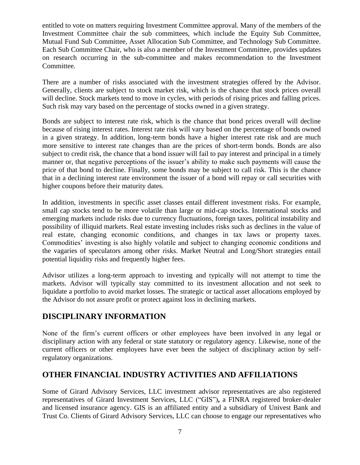entitled to vote on matters requiring Investment Committee approval. Many of the members of the Investment Committee chair the sub committees, which include the Equity Sub Committee, Mutual Fund Sub Committee, Asset Allocation Sub Committee, and Technology Sub Committee. Each Sub Committee Chair, who is also a member of the Investment Committee, provides updates on research occurring in the sub-committee and makes recommendation to the Investment Committee.

There are a number of risks associated with the investment strategies offered by the Advisor. Generally, clients are subject to stock market risk, which is the chance that stock prices overall will decline. Stock markets tend to move in cycles, with periods of rising prices and falling prices. Such risk may vary based on the percentage of stocks owned in a given strategy.

Bonds are subject to interest rate risk, which is the chance that bond prices overall will decline because of rising interest rates. Interest rate risk will vary based on the percentage of bonds owned in a given strategy. In addition, long-term bonds have a higher interest rate risk and are much more sensitive to interest rate changes than are the prices of short-term bonds. Bonds are also subject to credit risk, the chance that a bond issuer will fail to pay interest and principal in a timely manner or, that negative perceptions of the issuer's ability to make such payments will cause the price of that bond to decline. Finally, some bonds may be subject to call risk. This is the chance that in a declining interest rate environment the issuer of a bond will repay or call securities with higher coupons before their maturity dates.

In addition, investments in specific asset classes entail different investment risks. For example, small cap stocks tend to be more volatile than large or mid-cap stocks. International stocks and emerging markets include risks due to currency fluctuations, foreign taxes, political instability and possibility of illiquid markets. Real estate investing includes risks such as declines in the value of real estate, changing economic conditions, and changes in tax laws or property taxes. Commodities' investing is also highly volatile and subject to changing economic conditions and the vagaries of speculators among other risks. Market Neutral and Long/Short strategies entail potential liquidity risks and frequently higher fees.

Advisor utilizes a long-term approach to investing and typically will not attempt to time the markets. Advisor will typically stay committed to its investment allocation and not seek to liquidate a portfolio to avoid market losses. The strategic or tactical asset allocations employed by the Advisor do not assure profit or protect against loss in declining markets.

#### <span id="page-6-0"></span>**DISCIPLINARY INFORMATION**

None of the firm's current officers or other employees have been involved in any legal or disciplinary action with any federal or state statutory or regulatory agency. Likewise, none of the current officers or other employees have ever been the subject of disciplinary action by selfregulatory organizations.

#### <span id="page-6-1"></span>**OTHER FINANCIAL INDUSTRY ACTIVITIES AND AFFILIATIONS**

Some of Girard Advisory Services, LLC investment advisor representatives are also registered representatives of Girard Investment Services, LLC ("GIS")**,** a FINRA registered broker-dealer and licensed insurance agency. GIS is an affiliated entity and a subsidiary of Univest Bank and Trust Co. Clients of Girard Advisory Services, LLC can choose to engage our representatives who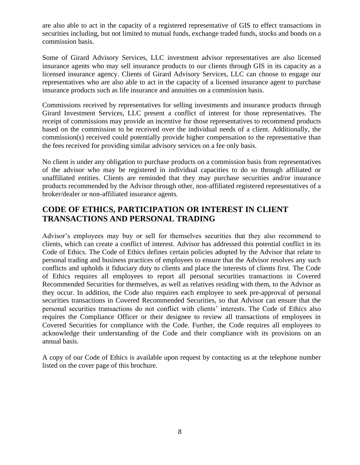are also able to act in the capacity of a registered representative of GIS to effect transactions in securities including, but not limited to mutual funds, exchange traded funds, stocks and bonds on a commission basis.

Some of Girard Advisory Services, LLC investment advisor representatives are also licensed insurance agents who may sell insurance products to our clients through GIS in its capacity as a licensed insurance agency. Clients of Girard Advisory Services, LLC can choose to engage our representatives who are also able to act in the capacity of a licensed insurance agent to purchase insurance products such as life insurance and annuities on a commission basis.

<span id="page-7-0"></span>Commissions received by representatives for selling investments and insurance products through Girard Investment Services, LLC present a conflict of interest for those representatives. The receipt of commissions may provide an incentive for those representatives to recommend products based on the commission to be received over the individual needs of a client. Additionally, the commission(s) received could potentially provide higher compensation to the representative than the fees received for providing similar advisory services on a fee only basis.

No client is under any obligation to purchase products on a commission basis from representatives of the advisor who may be registered in individual capacities to do so through affiliated or unaffiliated entities. Clients are reminded that they may purchase securities and/or insurance products recommended by the Advisor through other, non-affiliated registered representatives of a broker/dealer or non-affiliated insurance agents.

## **CODE OF ETHICS, PARTICIPATION OR INTEREST IN CLIENT TRANSACTIONS AND PERSONAL TRADING**

Advisor's employees may buy or sell for themselves securities that they also recommend to clients, which can create a conflict of interest. Advisor has addressed this potential conflict in its Code of Ethics. The Code of Ethics defines certain policies adopted by the Advisor that relate to personal trading and business practices of employees to ensure that the Advisor resolves any such conflicts and upholds it fiduciary duty to clients and place the interests of clients first. The Code of Ethics requires all employees to report all personal securities transactions in Covered Recommended Securities for themselves, as well as relatives residing with them, to the Advisor as they occur. In addition, the Code also requires each employee to seek pre-approval of personal securities transactions in Covered Recommended Securities, so that Advisor can ensure that the personal securities transactions do not conflict with clients' interests. The Code of Ethics also requires the Compliance Officer or their designee to review all transactions of employees in Covered Securities for compliance with the Code. Further, the Code requires all employees to acknowledge their understanding of the Code and their compliance with its provisions on an annual basis.

A copy of our Code of Ethics is available upon request by contacting us at the telephone number listed on the cover page of this brochure.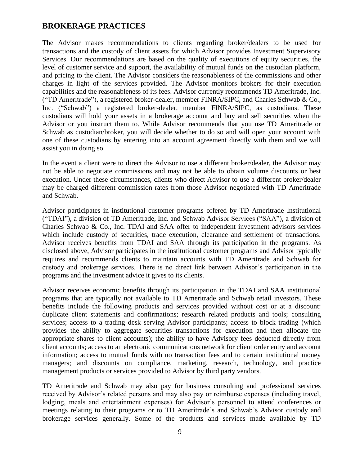#### **BROKERAGE PRACTICES**

The Advisor makes recommendations to clients regarding broker/dealers to be used for transactions and the custody of client assets for which Advisor provides Investment Supervisory Services. Our recommendations are based on the quality of executions of equity securities, the level of customer service and support, the availability of mutual funds on the custodian platform, and pricing to the client. The Advisor considers the reasonableness of the commissions and other charges in light of the services provided. The Advisor monitors brokers for their execution capabilities and the reasonableness of its fees. Advisor currently recommends TD Ameritrade, Inc. ("TD Ameritrade"), a registered broker-dealer, member FINRA/SIPC, and Charles Schwab & Co., Inc. ("Schwab") a registered broker-dealer, member FINRA/SIPC, as custodians. These custodians will hold your assets in a brokerage account and buy and sell securities when the Advisor or you instruct them to. While Advisor recommends that you use TD Ameritrade or Schwab as custodian/broker, you will decide whether to do so and will open your account with one of these custodians by entering into an account agreement directly with them and we will assist you in doing so.

In the event a client were to direct the Advisor to use a different broker/dealer, the Advisor may not be able to negotiate commissions and may not be able to obtain volume discounts or best execution. Under these circumstances, clients who direct Advisor to use a different broker/dealer may be charged different commission rates from those Advisor negotiated with TD Ameritrade and Schwab.

Advisor participates in institutional customer programs offered by TD Ameritrade Institutional ("TDAI"), a division of TD Ameritrade, Inc. and Schwab Advisor Services ("SAA"), a division of Charles Schwab & Co., Inc. TDAI and SAA offer to independent investment advisors services which include custody of securities, trade execution, clearance and settlement of transactions. Advisor receives benefits from TDAI and SAA through its participation in the programs. As disclosed above, Advisor participates in the institutional customer programs and Advisor typically requires and recommends clients to maintain accounts with TD Ameritrade and Schwab for custody and brokerage services. There is no direct link between Advisor's participation in the programs and the investment advice it gives to its clients.

Advisor receives economic benefits through its participation in the TDAI and SAA institutional programs that are typically not available to TD Ameritrade and Schwab retail investors. These benefits include the following products and services provided without cost or at a discount: duplicate client statements and confirmations; research related products and tools; consulting services; access to a trading desk serving Advisor participants; access to block trading (which provides the ability to aggregate securities transactions for execution and then allocate the appropriate shares to client accounts); the ability to have Advisory fees deducted directly from client accounts; access to an electronic communications network for client order entry and account information; access to mutual funds with no transaction fees and to certain institutional money managers; and discounts on compliance, marketing, research, technology, and practice management products or services provided to Advisor by third party vendors.

TD Ameritrade and Schwab may also pay for business consulting and professional services received by Advisor's related persons and may also pay or reimburse expenses (including travel, lodging, meals and entertainment expenses) for Advisor's personnel to attend conferences or meetings relating to their programs or to TD Ameritrade's and Schwab's Advisor custody and brokerage services generally. Some of the products and services made available by TD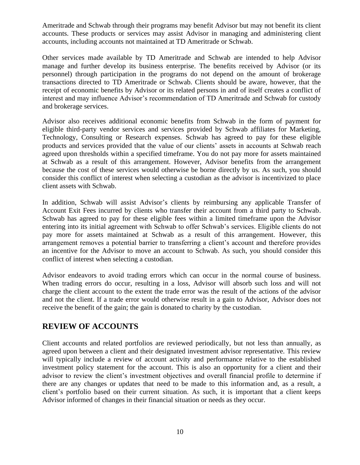Ameritrade and Schwab through their programs may benefit Advisor but may not benefit its client accounts. These products or services may assist Advisor in managing and administering client accounts, including accounts not maintained at TD Ameritrade or Schwab.

Other services made available by TD Ameritrade and Schwab are intended to help Advisor manage and further develop its business enterprise. The benefits received by Advisor (or its personnel) through participation in the programs do not depend on the amount of brokerage transactions directed to TD Ameritrade or Schwab. Clients should be aware, however, that the receipt of economic benefits by Advisor or its related persons in and of itself creates a conflict of interest and may influence Advisor's recommendation of TD Ameritrade and Schwab for custody and brokerage services.

Advisor also receives additional economic benefits from Schwab in the form of payment for eligible third-party vendor services and services provided by Schwab affiliates for Marketing, Technology, Consulting or Research expenses. Schwab has agreed to pay for these eligible products and services provided that the value of our clients' assets in accounts at Schwab reach agreed upon thresholds within a specified timeframe. You do not pay more for assets maintained at Schwab as a result of this arrangement. However, Advisor benefits from the arrangement because the cost of these services would otherwise be borne directly by us. As such, you should consider this conflict of interest when selecting a custodian as the advisor is incentivized to place client assets with Schwab.

In addition, Schwab will assist Advisor's clients by reimbursing any applicable Transfer of Account Exit Fees incurred by clients who transfer their account from a third party to Schwab. Schwab has agreed to pay for these eligible fees within a limited timeframe upon the Advisor entering into its initial agreement with Schwab to offer Schwab's services. Eligible clients do not pay more for assets maintained at Schwab as a result of this arrangement. However, this arrangement removes a potential barrier to transferring a client's account and therefore provides an incentive for the Advisor to move an account to Schwab. As such, you should consider this conflict of interest when selecting a custodian.

Advisor endeavors to avoid trading errors which can occur in the normal course of business. When trading errors do occur, resulting in a loss, Advisor will absorb such loss and will not charge the client account to the extent the trade error was the result of the actions of the advisor and not the client. If a trade error would otherwise result in a gain to Advisor, Advisor does not receive the benefit of the gain; the gain is donated to charity by the custodian.

#### <span id="page-9-0"></span>**REVIEW OF ACCOUNTS**

Client accounts and related portfolios are reviewed periodically, but not less than annually, as agreed upon between a client and their designated investment advisor representative. This review will typically include a review of account activity and performance relative to the established investment policy statement for the account. This is also an opportunity for a client and their advisor to review the client's investment objectives and overall financial profile to determine if there are any changes or updates that need to be made to this information and, as a result, a client's portfolio based on their current situation. As such, it is important that a client keeps Advisor informed of changes in their financial situation or needs as they occur.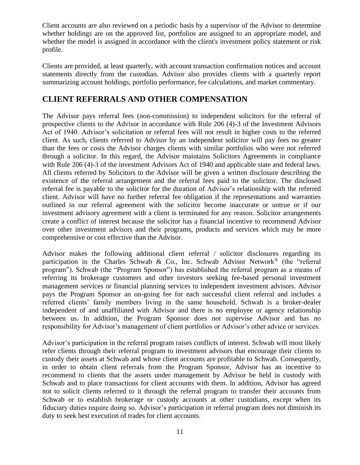Client accounts are also reviewed on a periodic basis by a supervisor of the Advisor to determine whether holdings are on the approved list, portfolios are assigned to an appropriate model, and whether the model is assigned in accordance with the client's investment policy statement or risk profile.

Clients are provided, at least quarterly, with account transaction confirmation notices and account statements directly from the custodian. Advisor also provides clients with a quarterly report summarizing account holdings, portfolio performance, fee calculations, and market commentary.

#### <span id="page-10-0"></span>**CLIENT REFERRALS AND OTHER COMPENSATION**

The Advisor pays referral fees (non-commission) to independent solicitors for the referral of prospective clients to the Advisor in accordance with Rule 206 (4)-3 of the Investment Advisors Act of 1940. Advisor's solicitation or referral fees will not result in higher costs to the referred client. As such, clients referred to Advisor by an independent solicitor will pay fees no greater than the fees or costs the Advisor charges clients with similar portfolios who were not referred through a solicitor. In this regard, the Advisor maintains Solicitors Agreements in compliance with Rule 206 (4)-3 of the investment Advisors Act of 1940 and applicable state and federal laws. All clients referred by Solicitors to the Advisor will be given a written disclosure describing the existence of the referral arrangement and the referral fees paid to the solicitor. The disclosed referral fee is payable to the solicitor for the duration of Advisor's relationship with the referred client. Advisor will have no further referral fee obligation if the representations and warranties outlined in our referral agreement with the solicitor become inaccurate or untrue or if our investment advisory agreement with a client is terminated for any reason. Solicitor arrangements create a conflict of interest because the solicitor has a financial incentive to recommend Advisor over other investment advisors and their programs, products and services which may be more comprehensive or cost effective than the Advisor.

Advisor makes the following additional client referral / solicitor disclosures regarding its participation in the Charles Schwab & Co., Inc. Schwab Advisor Network<sup>®</sup> (the "referral program"). Schwab (the "Program Sponsor") has established the referral program as a means of referring its brokerage customers and other investors seeking fee-based personal investment management services or financial planning services to independent investment advisors. Advisor pays the Program Sponsor an on-going fee for each successful client referral and includes a referred clients' family members living in the same household. Schwab is a broker-dealer independent of and unaffiliated with Advisor and there is no employee or agency relationship between us. In addition, the Program Sponsor does not supervise Advisor and has no responsibility for Advisor's management of client portfolios or Advisor's other advice or services.

Advisor's participation in the referral program raises conflicts of interest. Schwab will most likely refer clients through their referral program to investment advisors that encourage their clients to custody their assets at Schwab and whose client accounts are profitable to Schwab. Consequently, in order to obtain client referrals from the Program Sponsor, Advisor has an incentive to recommend to clients that the assets under management by Advisor be held in custody with Schwab and to place transactions for client accounts with them. In addition, Advisor has agreed not to solicit clients referred to it through the referral program to transfer their accounts from Schwab or to establish brokerage or custody accounts at other custodians, except when its fiduciary duties require doing so. Advisor's participation in referral program does not diminish its duty to seek best execution of trades for client accounts.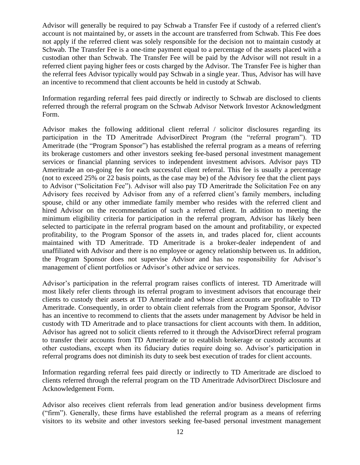Advisor will generally be required to pay Schwab a Transfer Fee if custody of a referred client's account is not maintained by, or assets in the account are transferred from Schwab. This Fee does not apply if the referred client was solely responsible for the decision not to maintain custody at Schwab. The Transfer Fee is a one-time payment equal to a percentage of the assets placed with a custodian other than Schwab. The Transfer Fee will be paid by the Advisor will not result in a referred client paying higher fees or costs charged by the Advisor. The Transfer Fee is higher than the referral fees Advisor typically would pay Schwab in a single year. Thus, Advisor has will have an incentive to recommend that client accounts be held in custody at Schwab.

Information regarding referral fees paid directly or indirectly to Schwab are disclosed to clients referred through the referral program on the Schwab Advisor Network Investor Acknowledgment Form.

Advisor makes the following additional client referral / solicitor disclosures regarding its participation in the TD Ameritrade AdvisorDirect Program (the "referral program"). TD Ameritrade (the "Program Sponsor") has established the referral program as a means of referring its brokerage customers and other investors seeking fee-based personal investment management services or financial planning services to independent investment advisors. Advisor pays TD Ameritrade an on-going fee for each successful client referral. This fee is usually a percentage (not to exceed 25% or 22 basis points, as the case may be) of the Advisory fee that the client pays to Advisor ("Solicitation Fee"). Advisor will also pay TD Ameritrade the Solicitation Fee on any Advisory fees received by Advisor from any of a referred client's family members, including spouse, child or any other immediate family member who resides with the referred client and hired Advisor on the recommendation of such a referred client. In addition to meeting the minimum eligibility criteria for participation in the referral program, Advisor has likely been selected to participate in the referral program based on the amount and profitability, or expected profitability, to the Program Sponsor of the assets in, and trades placed for, client accounts maintained with TD Ameritrade. TD Ameritrade is a broker-dealer independent of and unaffiliated with Advisor and there is no employee or agency relationship between us. In addition, the Program Sponsor does not supervise Advisor and has no responsibility for Advisor's management of client portfolios or Advisor's other advice or services.

Advisor's participation in the referral program raises conflicts of interest. TD Ameritrade will most likely refer clients through its referral program to investment advisors that encourage their clients to custody their assets at TD Ameritrade and whose client accounts are profitable to TD Ameritrade. Consequently, in order to obtain client referrals from the Program Sponsor, Advisor has an incentive to recommend to clients that the assets under management by Advisor be held in custody with TD Ameritrade and to place transactions for client accounts with them. In addition, Advisor has agreed not to solicit clients referred to it through the AdvisorDirect referral program to transfer their accounts from TD Ameritrade or to establish brokerage or custody accounts at other custodians, except when its fiduciary duties require doing so. Advisor's participation in referral programs does not diminish its duty to seek best execution of trades for client accounts.

Information regarding referral fees paid directly or indirectly to TD Ameritrade are discloed to clients referred through the referral program on the TD Ameritrade AdvisorDirect Disclosure and Acknowledgement Form.

Advisor also receives client referrals from lead generation and/or business development firms ("firm"). Generally, these firms have established the referral program as a means of referring visitors to its website and other investors seeking fee-based personal investment management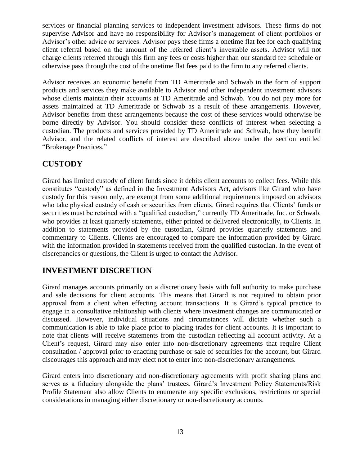services or financial planning services to independent investment advisors. These firms do not supervise Advisor and have no responsibility for Advisor's management of client portfolios or Advisor's other advice or services. Advisor pays these firms a onetime flat fee for each qualifying client referral based on the amount of the referred client's investable assets. Advisor will not charge clients referred through this firm any fees or costs higher than our standard fee schedule or otherwise pass through the cost of the onetime flat fees paid to the firm to any referred clients.

Advisor receives an economic benefit from TD Ameritrade and Schwab in the form of support products and services they make available to Advisor and other independent investment advisors whose clients maintain their accounts at TD Ameritrade and Schwab. You do not pay more for assets maintained at TD Ameritrade or Schwab as a result of these arrangements. However, Advisor benefits from these arrangements because the cost of these services would otherwise be borne directly by Advisor. You should consider these conflicts of interest when selecting a custodian. The products and services provided by TD Ameritrade and Schwab, how they benefit Advisor, and the related conflicts of interest are described above under the section entitled "Brokerage Practices."

## **CUSTODY**

Girard has limited custody of client funds since it debits client accounts to collect fees. While this constitutes "custody" as defined in the Investment Advisors Act, advisors like Girard who have custody for this reason only, are exempt from some additional requirements imposed on advisors who take physical custody of cash or securities from clients. Girard requires that Clients' funds or securities must be retained with a "qualified custodian," currently TD Ameritrade, Inc. or Schwab, who provides at least quarterly statements, either printed or delivered electronically, to Clients. In addition to statements provided by the custodian, Girard provides quarterly statements and commentary to Clients. Clients are encouraged to compare the information provided by Girard with the information provided in statements received from the qualified custodian. In the event of discrepancies or questions, the Client is urged to contact the Advisor.

# <span id="page-12-0"></span>**INVESTMENT DISCRETION**

Girard manages accounts primarily on a discretionary basis with full authority to make purchase and sale decisions for client accounts. This means that Girard is not required to obtain prior approval from a client when effecting account transactions. It is Girard's typical practice to engage in a consultative relationship with clients where investment changes are communicated or discussed. However, individual situations and circumstances will dictate whether such a communication is able to take place prior to placing trades for client accounts. It is important to note that clients will receive statements from the custodian reflecting all account activity. At a Client's request, Girard may also enter into non-discretionary agreements that require Client consultation / approval prior to enacting purchase or sale of securities for the account, but Girard discourages this approach and may elect not to enter into non-discretionary arrangements.

Girard enters into discretionary and non-discretionary agreements with profit sharing plans and serves as a fiduciary alongside the plans' trustees. Girard's Investment Policy Statements/Risk Profile Statement also allow Clients to enumerate any specific exclusions, restrictions or special considerations in managing either discretionary or non-discretionary accounts.